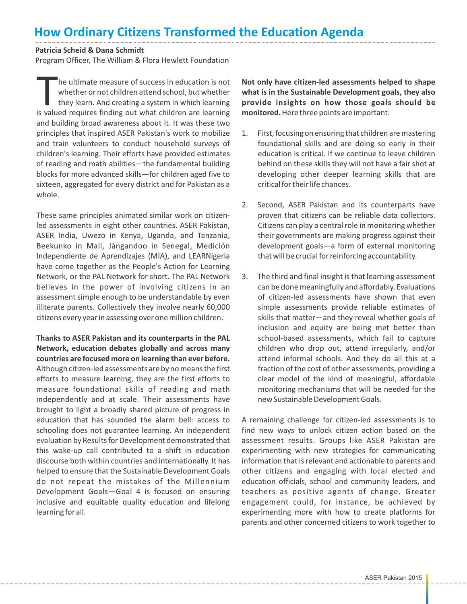## **How Ordinary Citizens Transformed the Education Agenda**

## **Patricia Scheid & Dana Schmidt**

Program Officer, The William & Flora Hewlett Foundation

he ultimate measure of success in education is not whether or not children attend school, but whether they learn. And creating a system in which learning is valued requires finding out what children are learning they learn. And creating a system in which learning is valued requires finding out what children are learning and building broad awareness about it. It was these two principles that inspired ASER Pakistan's work to mobilize and train volunteers to conduct household surveys of children's learning. Their efforts have provided estimates of reading and math abilities—the fundamental building blocks for more advanced skills—for children aged five to sixteen, aggregated for every district and for Pakistan as a whole.

These same principles animated similar work on citizenled assessments in eight other countries. ASER Pakistan, ASER India, Uwezo in Kenya, Uganda, and Tanzania, Beekunko in Mali, Jàngandoo in Senegal, Medición Independiente de Aprendizajes (MIA), and LEARNigeria have come together as the People's Action for Learning Network, or the PAL Network for short. The PAL Network believes in the power of involving citizens in an assessment simple enough to be understandable by even illiterate parents. Collectively they involve nearly 60,000 citizens every year in assessing over one million children.

**Thanks to ASER Pakistan and its counterparts in the PAL Network, education debates globally and across many countries are focused more on learning than ever before.** Although citizen-led assessments are by no means the first efforts to measure learning, they are the first efforts to measure foundational skills of reading and math independently and at scale. Their assessments have brought to light a broadly shared picture of progress in education that has sounded the alarm bell: access to schooling does not guarantee learning. An independent evaluation by Results for Development demonstrated that this wake-up call contributed to a shift in education discourse both within countries and internationally. It has helped to ensure that the Sustainable Development Goals do not repeat the mistakes of the Millennium Development Goals—Goal 4 is focused on ensuring inclusive and equitable quality education and lifelong learning for all.

**Not only have citizen-led assessments helped to shape what is in the Sustainable Development goals, they also provide insights on how those goals should be monitored.** Here three points are important:

- 1. First, focusing on ensuring that children are mastering foundational skills and are doing so early in their education is critical. If we continue to leave children behind on these skills they will not have a fair shot at developing other deeper learning skills that are critical for their life chances.
- 2. Second, ASER Pakistan and its counterparts have proven that citizens can be reliable data collectors. Citizens can play a central role in monitoring whether their governments are making progress against their development goals—a form of external monitoring that will be crucial for reinforcing accountability.
- 3. The third and final insight is that learning assessment can be done meaningfully and affordably. Evaluations of citizen-led assessments have shown that even simple assessments provide reliable estimates of skills that matter—and they reveal whether goals of inclusion and equity are being met better than school-based assessments, which fail to capture children who drop out, attend irregularly, and/or attend informal schools. And they do all this at a fraction of the cost of other assessments, providing a clear model of the kind of meaningful, affordable monitoring mechanisms that will be needed for the new Sustainable Development Goals.

A remaining challenge for citizen-led assessments is to find new ways to unlock citizen action based on the assessment results. Groups like ASER Pakistan are experimenting with new strategies for communicating information that is relevant and actionable to parents and other citizens and engaging with local elected and education officials, school and community leaders, and teachers as positive agents of change. Greater engagement could, for instance, be achieved by experimenting more with how to create platforms for parents and other concerned citizens to work together to